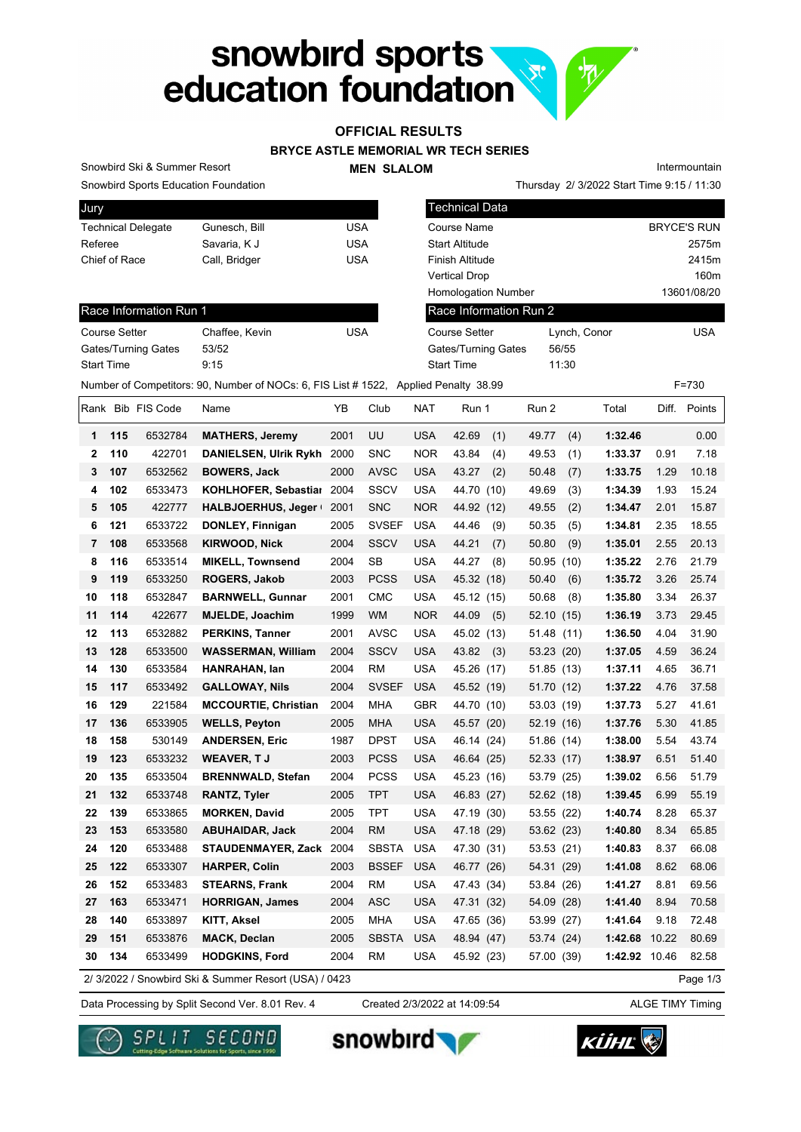# snowbird sports<br>education foundation

### **OFFICIAL RESULTS**

#### **BRYCE ASTLE MEMORIAL WR TECH SERIES**

**MEN SLALOM** 

Intermountain

Snowbird Sports Education Foundation

Snowbird Ski & Summer Resort

| Jury                      |               |     |
|---------------------------|---------------|-----|
| <b>Technical Delegate</b> | Gunesch, Bill | USA |
| Referee                   | Savaria, K J  | USA |
| Chief of Race             | Call, Bridger | USA |
|                           |               |     |

| <b>Snowbird Sports Education Foundation</b> |                                                                                     |            |      |            |                            |       |              | Thursday 2/ 3/2022 Start Time 9:15 / 11:30 |
|---------------------------------------------|-------------------------------------------------------------------------------------|------------|------|------------|----------------------------|-------|--------------|--------------------------------------------|
| Jury                                        |                                                                                     |            |      |            | <b>Technical Data</b>      |       |              |                                            |
| <b>Technical Delegate</b>                   | Gunesch, Bill                                                                       | <b>USA</b> |      |            | Course Name                |       |              | <b>BRYCE'S RUN</b>                         |
| Referee                                     | Savaria, K J                                                                        | <b>USA</b> |      |            | <b>Start Altitude</b>      |       |              | 2575m                                      |
| Chief of Race                               | Call, Bridger                                                                       | <b>USA</b> |      |            | Finish Altitude            |       |              | 2415m                                      |
|                                             |                                                                                     |            |      |            | <b>Vertical Drop</b>       |       |              | 160m                                       |
|                                             |                                                                                     |            |      |            | <b>Homologation Number</b> |       |              | 13601/08/20                                |
| Race Information Run 1                      |                                                                                     |            |      |            | Race Information Run 2     |       |              |                                            |
| <b>Course Setter</b>                        | Chaffee, Kevin                                                                      | <b>USA</b> |      |            | <b>Course Setter</b>       |       | Lynch, Conor | <b>USA</b>                                 |
| Gates/Turning Gates                         | 53/52                                                                               |            |      |            | Gates/Turning Gates        | 56/55 |              |                                            |
| <b>Start Time</b>                           | 9:15                                                                                |            |      |            | <b>Start Time</b>          | 11:30 |              |                                            |
|                                             | Number of Competitors: 90, Number of NOCs: 6, FIS List #1522, Applied Penalty 38.99 |            |      |            |                            |       |              | $F = 730$                                  |
| IRank Bib FIS Code                          | Name                                                                                | YΒ         | Club | <b>NAT</b> | Run 1                      | Run 2 | Total        | Diff. Points                               |

| Course Setter       | Chaffee, Kevin | USA |
|---------------------|----------------|-----|
| Gates/Turning Gates | 53/52          |     |
| <b>Start Time</b>   | 9.15           |     |

|              |     | Rank Bib FIS Code | Name                                                  | YB   | Club         | <b>NAT</b> | Run 1        | Run 2         | Total         | Diff. | Points   |
|--------------|-----|-------------------|-------------------------------------------------------|------|--------------|------------|--------------|---------------|---------------|-------|----------|
| $\mathbf 1$  | 115 | 6532784           | <b>MATHERS, Jeremy</b>                                | 2001 | UU           | <b>USA</b> | 42.69<br>(1) | 49.77<br>(4)  | 1:32.46       |       | 0.00     |
| $\mathbf{2}$ | 110 | 422701            | DANIELSEN, Ulrik Rykh 2000                            |      | SNC          | <b>NOR</b> | 43.84<br>(4) | 49.53<br>(1)  | 1:33.37       | 0.91  | 7.18     |
| 3            | 107 | 6532562           | <b>BOWERS, Jack</b>                                   | 2000 | <b>AVSC</b>  | <b>USA</b> | 43.27<br>(2) | 50.48<br>(7)  | 1:33.75       | 1.29  | 10.18    |
| 4            | 102 | 6533473           | KOHLHOFER, Sebastial 2004                             |      | <b>SSCV</b>  | <b>USA</b> | 44.70 (10)   | 49.69<br>(3)  | 1:34.39       | 1.93  | 15.24    |
| 5            | 105 | 422777            | <b>HALBJOERHUS, Jeger</b>                             | 2001 | <b>SNC</b>   | <b>NOR</b> | 44.92 (12)   | 49.55<br>(2)  | 1:34.47       | 2.01  | 15.87    |
| 6            | 121 | 6533722           | DONLEY, Finnigan                                      | 2005 | <b>SVSEF</b> | <b>USA</b> | 44.46<br>(9) | 50.35<br>(5)  | 1:34.81       | 2.35  | 18.55    |
| 7            | 108 | 6533568           | <b>KIRWOOD, Nick</b>                                  | 2004 | <b>SSCV</b>  | <b>USA</b> | 44.21<br>(7) | 50.80<br>(9)  | 1:35.01       | 2.55  | 20.13    |
| 8            | 116 | 6533514           | <b>MIKELL, Townsend</b>                               | 2004 | <b>SB</b>    | <b>USA</b> | 44.27<br>(8) | 50.95<br>(10) | 1:35.22       | 2.76  | 21.79    |
| 9            | 119 | 6533250           | ROGERS, Jakob                                         | 2003 | <b>PCSS</b>  | <b>USA</b> | 45.32 (18)   | 50.40<br>(6)  | 1:35.72       | 3.26  | 25.74    |
| 10           | 118 | 6532847           | <b>BARNWELL, Gunnar</b>                               | 2001 | <b>CMC</b>   | <b>USA</b> | 45.12 (15)   | 50.68<br>(8)  | 1:35.80       | 3.34  | 26.37    |
| 11           | 114 | 422677            | <b>MJELDE, Joachim</b>                                | 1999 | <b>WM</b>    | <b>NOR</b> | 44.09<br>(5) | 52.10<br>(15) | 1:36.19       | 3.73  | 29.45    |
| 12           | 113 | 6532882           | <b>PERKINS, Tanner</b>                                | 2001 | <b>AVSC</b>  | USA        | 45.02 (13)   | 51.48<br>(11) | 1:36.50       | 4.04  | 31.90    |
| 13           | 128 | 6533500           | <b>WASSERMAN, William</b>                             | 2004 | <b>SSCV</b>  | <b>USA</b> | 43.82<br>(3) | 53.23 (20)    | 1:37.05       | 4.59  | 36.24    |
| 14           | 130 | 6533584           | HANRAHAN, lan                                         | 2004 | <b>RM</b>    | <b>USA</b> | 45.26 (17)   | 51.85 (13)    | 1:37.11       | 4.65  | 36.71    |
| 15           | 117 | 6533492           | <b>GALLOWAY, Nils</b>                                 | 2004 | <b>SVSEF</b> | <b>USA</b> | 45.52 (19)   | 51.70 (12)    | 1:37.22       | 4.76  | 37.58    |
| 16           | 129 | 221584            | <b>MCCOURTIE, Christian</b>                           | 2004 | <b>MHA</b>   | <b>GBR</b> | 44.70 (10)   | 53.03 (19)    | 1:37.73       | 5.27  | 41.61    |
| 17           | 136 | 6533905           | <b>WELLS, Peyton</b>                                  | 2005 | MHA          | USA        | 45.57 (20)   | 52.19 (16)    | 1:37.76       | 5.30  | 41.85    |
| 18           | 158 | 530149            | <b>ANDERSEN, Eric</b>                                 | 1987 | DPST         | <b>USA</b> | 46.14 (24)   | 51.86 (14)    | 1:38.00       | 5.54  | 43.74    |
| 19           | 123 | 6533232           | <b>WEAVER, TJ</b>                                     | 2003 | <b>PCSS</b>  | <b>USA</b> | 46.64 (25)   | 52.33 (17)    | 1:38.97       | 6.51  | 51.40    |
| 20           | 135 | 6533504           | <b>BRENNWALD, Stefan</b>                              | 2004 | <b>PCSS</b>  | <b>USA</b> | 45.23 (16)   | 53.79 (25)    | 1:39.02       | 6.56  | 51.79    |
| 21           | 132 | 6533748           | <b>RANTZ, Tyler</b>                                   | 2005 | <b>TPT</b>   | <b>USA</b> | 46.83 (27)   | 52.62 (18)    | 1:39.45       | 6.99  | 55.19    |
| 22           | 139 | 6533865           | <b>MORKEN, David</b>                                  | 2005 | TPT          | <b>USA</b> | 47.19 (30)   | 53.55 (22)    | 1:40.74       | 8.28  | 65.37    |
| 23           | 153 | 6533580           | <b>ABUHAIDAR, Jack</b>                                | 2004 | RM           | USA        | 47.18 (29)   | 53.62 (23)    | 1:40.80       | 8.34  | 65.85    |
| 24           | 120 | 6533488           | STAUDENMAYER, Zack 2004                               |      | SBSTA        | <b>USA</b> | 47.30 (31)   | 53.53 (21)    | 1:40.83       | 8.37  | 66.08    |
| 25           | 122 | 6533307           | <b>HARPER, Colin</b>                                  | 2003 | <b>BSSEF</b> | <b>USA</b> | 46.77 (26)   | 54.31 (29)    | 1:41.08       | 8.62  | 68.06    |
| 26           | 152 | 6533483           | <b>STEARNS, Frank</b>                                 | 2004 | <b>RM</b>    | <b>USA</b> | 47.43 (34)   | 53.84 (26)    | 1:41.27       | 8.81  | 69.56    |
| 27           | 163 | 6533471           | <b>HORRIGAN, James</b>                                | 2004 | ASC          | <b>USA</b> | 47.31 (32)   | 54.09 (28)    | 1:41.40       | 8.94  | 70.58    |
| 28           | 140 | 6533897           | <b>KITT, Aksel</b>                                    | 2005 | MHA          | <b>USA</b> | 47.65 (36)   | 53.99 (27)    | 1:41.64       | 9.18  | 72.48    |
| 29           | 151 | 6533876           | <b>MACK, Declan</b>                                   | 2005 | <b>SBSTA</b> | <b>USA</b> | 48.94 (47)   | 53.74 (24)    | 1:42.68       | 10.22 | 80.69    |
| 30           | 134 | 6533499           | <b>HODGKINS, Ford</b>                                 | 2004 | RM           | <b>USA</b> | 45.92 (23)   | 57.00 (39)    | 1:42.92 10.46 |       | 82.58    |
|              |     |                   | 2/ 3/2022 / Snowbird Ski & Summer Resort (USA) / 0423 |      |              |            |              |               |               |       | Page 1/3 |

2/ 3/2022 / Snowbird Ski & Summer Resort (USA) / 0423

Data Processing by Split Second Ver. 8.01 Rev. 4 Created 2/3/2022 at 14:09:54 ALGE TIMY Timing Created 2/3/2022 at 14:09:54







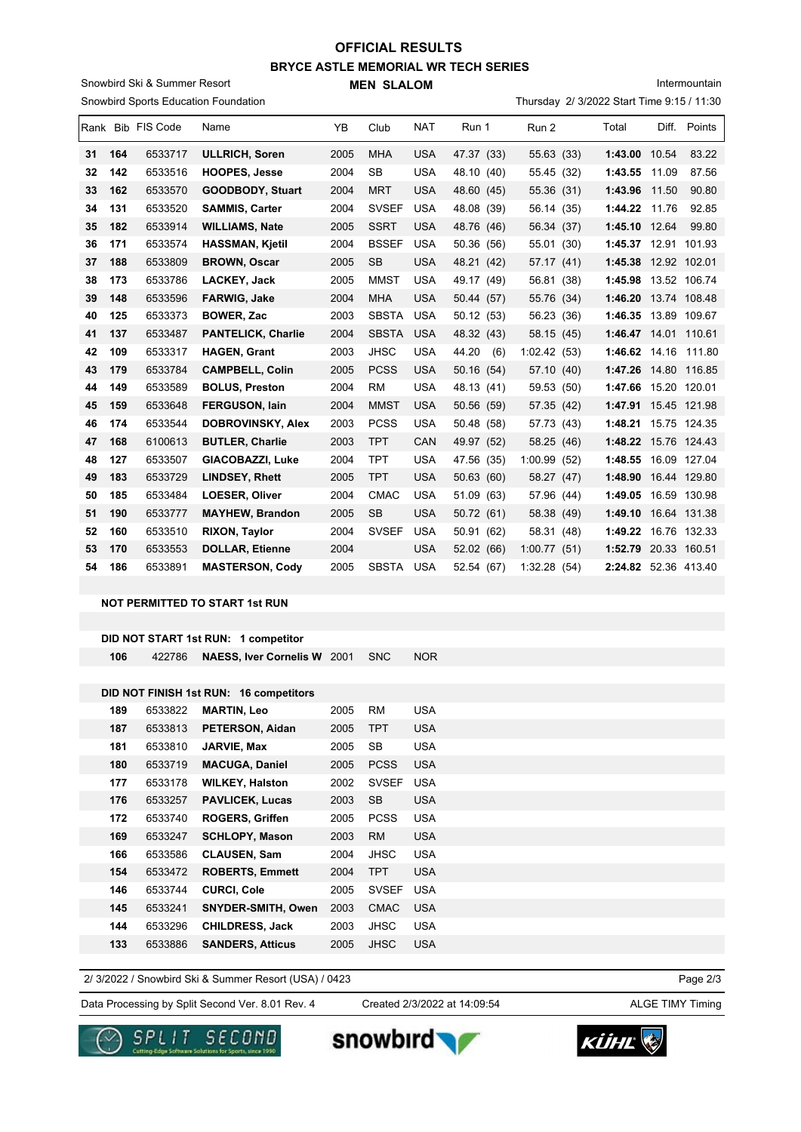## **BRYCE ASTLE MEMORIAL WR TECH SERIES MEN SLALOM OFFICIAL RESULTS**

Snowbird Ski & Summer Resort  $\sim$ 

Intermountain

|          |            |                    | Snowbird Sports Education Foundation            |              |                          |                          |                          |                          | Thursday 2/ 3/2022 Start Time 9:15 / 11:30   |       |              |
|----------|------------|--------------------|-------------------------------------------------|--------------|--------------------------|--------------------------|--------------------------|--------------------------|----------------------------------------------|-------|--------------|
|          |            | Rank Bib FIS Code  | Name                                            | YB           | Club                     | NAT                      | Run 1                    | Run 2                    | Total                                        |       | Diff. Points |
| 31       | 164        | 6533717            | <b>ULLRICH, Soren</b>                           | 2005         | <b>MHA</b>               | <b>USA</b>               | 47.37 (33)               | 55.63 (33)               | 1:43.00 10.54                                |       | 83.22        |
| 32       | 142        | 6533516            | <b>HOOPES, Jesse</b>                            | 2004         | SB                       | <b>USA</b>               | 48.10 (40)               | 55.45 (32)               | 1:43.55                                      | 11.09 | 87.56        |
| 33       | 162        | 6533570            | <b>GOODBODY, Stuart</b>                         | 2004         | <b>MRT</b>               | <b>USA</b>               | 48.60 (45)               | 55.36 (31)               | 1:43.96                                      | 11.50 | 90.80        |
| 34       | 131        | 6533520            | <b>SAMMIS, Carter</b>                           | 2004         | <b>SVSEF</b>             | <b>USA</b>               | 48.08 (39)               | 56.14 (35)               | 1:44.22 11.76                                |       | 92.85        |
| 35       | 182        | 6533914            | <b>WILLIAMS, Nate</b>                           | 2005         | <b>SSRT</b>              | <b>USA</b>               | 48.76 (46)               | 56.34 (37)               | 1:45.10 12.64                                |       | 99.80        |
| 36       | 171        | 6533574            | <b>HASSMAN, Kjetil</b>                          | 2004         | <b>BSSEF</b>             | <b>USA</b>               | 50.36 (56)               | 55.01 (30)               | 1:45.37 12.91 101.93                         |       |              |
| 37       | 188        | 6533809            | <b>BROWN, Oscar</b>                             | 2005         | SB                       | <b>USA</b>               | 48.21 (42)               | 57.17 (41)               | 1:45.38 12.92 102.01                         |       |              |
| 38       | 173        | 6533786            | LACKEY, Jack                                    | 2005         | MMST                     | USA                      | 49.17 (49)               | 56.81 (38)               | 1:45.98 13.52 106.74                         |       |              |
| 39       | 148        | 6533596            | <b>FARWIG, Jake</b>                             | 2004         | MHA                      | <b>USA</b>               | 50.44 (57)               | 55.76 (34)               | 1:46.20 13.74 108.48                         |       |              |
| 40       | 125        | 6533373            | <b>BOWER, Zac</b>                               | 2003         | <b>SBSTA</b>             | <b>USA</b>               | 50.12 (53)               | 56.23 (36)               | 1:46.35 13.89 109.67                         |       |              |
| 41       | 137        | 6533487            | <b>PANTELICK, Charlie</b>                       | 2004         | <b>SBSTA</b>             | <b>USA</b>               | 48.32 (43)               | 58.15 (45)               | 1:46.47 14.01 110.61                         |       |              |
| 42       | 109        | 6533317            | <b>HAGEN, Grant</b>                             | 2003         | <b>JHSC</b>              | USA                      | 44.20 (6)                | 1:02.42(53)              | 1:46.62 14.16 111.80                         |       |              |
| 43       | 179        | 6533784            | <b>CAMPBELL, Colin</b>                          | 2005         | <b>PCSS</b>              | <b>USA</b>               | 50.16 (54)               | 57.10 (40)               | 1:47.26 14.80 116.85                         |       |              |
| 44       | 149        | 6533589            | <b>BOLUS, Preston</b>                           | 2004         | <b>RM</b>                | <b>USA</b>               | 48.13 (41)               | 59.53 (50)               | 1:47.66 15.20 120.01                         |       |              |
| 45       | 159        | 6533648            | <b>FERGUSON, lain</b>                           | 2004         | <b>MMST</b>              | <b>USA</b>               | 50.56 (59)               | 57.35 (42)               | 1:47.91 15.45 121.98                         |       |              |
| 46       | 174        | 6533544            | <b>DOBROVINSKY, Alex</b>                        | 2003         | <b>PCSS</b>              | <b>USA</b>               | 50.48 (58)               | 57.73 (43)               | 1:48.21 15.75 124.35                         |       |              |
| 47       | 168        | 6100613            | <b>BUTLER, Charlie</b>                          | 2003         | <b>TPT</b>               | CAN                      | 49.97 (52)               | 58.25 (46)               | 1:48.22 15.76 124.43                         |       |              |
| 48       | 127        | 6533507            | GIACOBAZZI, Luke                                | 2004         | TPT                      | <b>USA</b>               | 47.56 (35)               | 1:00.99(52)              | 1:48.55 16.09 127.04                         |       |              |
| 49       | 183        | 6533729            | <b>LINDSEY, Rhett</b>                           | 2005         | <b>TPT</b>               | <b>USA</b>               | 50.63 (60)               | 58.27 (47)               | 1:48.90 16.44 129.80                         |       |              |
| 50       | 185<br>190 | 6533484            | <b>LOESER, Oliver</b>                           | 2004         | <b>CMAC</b>              | <b>USA</b>               | 51.09 (63)               | 57.96 (44)               | 1:49.05 16.59 130.98                         |       |              |
| 51<br>52 | 160        | 6533777<br>6533510 | <b>MAYHEW, Brandon</b><br><b>RIXON, Taylor</b>  | 2005<br>2004 | SB<br><b>SVSEF</b>       | USA<br><b>USA</b>        | 50.72 (61)<br>50.91 (62) | 58.38 (49)<br>58.31 (48) | 1:49.10 16.64 131.38<br>1:49.22 16.76 132.33 |       |              |
| 53       | 170        | 6533553            | <b>DOLLAR, Etienne</b>                          | 2004         |                          | <b>USA</b>               | 52.02 (66)               | 1:00.77(51)              | 1:52.79 20.33 160.51                         |       |              |
| 54       | 186        | 6533891            | <b>MASTERSON, Cody</b>                          | 2005         | <b>SBSTA</b>             | <b>USA</b>               | 52.54 (67)               | 1:32.28(54)              | 2:24.82 52.36 413.40                         |       |              |
|          |            |                    |                                                 |              |                          |                          |                          |                          |                                              |       |              |
|          |            |                    | <b>NOT PERMITTED TO START 1st RUN</b>           |              |                          |                          |                          |                          |                                              |       |              |
|          |            |                    |                                                 |              |                          |                          |                          |                          |                                              |       |              |
|          |            |                    | DID NOT START 1st RUN: 1 competitor             |              |                          |                          |                          |                          |                                              |       |              |
|          | 106        | 422786             | <b>NAESS, Iver Cornelis W</b> 2001              |              | <b>SNC</b>               | <b>NOR</b>               |                          |                          |                                              |       |              |
|          |            |                    |                                                 |              |                          |                          |                          |                          |                                              |       |              |
|          |            |                    | DID NOT FINISH 1st RUN: 16 competitors          |              |                          |                          |                          |                          |                                              |       |              |
|          | 189        | 6533822            | <b>MARTIN, Leo</b>                              | 2005         | <b>RM</b>                | <b>USA</b>               |                          |                          |                                              |       |              |
|          | 187        | 6533813            | PETERSON, Aidan                                 | 2005         | <b>TPT</b>               | <b>USA</b>               |                          |                          |                                              |       |              |
|          | 181        | 6533810            | JARVIE, Max                                     | 2005         | SB                       | <b>USA</b>               |                          |                          |                                              |       |              |
|          | 180        | 6533719            | <b>MACUGA, Daniel</b>                           | 2005         | <b>PCSS</b>              | <b>USA</b>               |                          |                          |                                              |       |              |
|          | 177        | 6533178            | <b>WILKEY, Halston</b>                          | 2002         | <b>SVSEF</b>             | <b>USA</b>               |                          |                          |                                              |       |              |
|          | 176        | 6533257            | <b>PAVLICEK, Lucas</b>                          | 2003         | <b>SB</b>                | <b>USA</b>               |                          |                          |                                              |       |              |
|          | 172<br>169 | 6533740<br>6533247 | <b>ROGERS, Griffen</b><br><b>SCHLOPY, Mason</b> | 2005<br>2003 | <b>PCSS</b><br><b>RM</b> | <b>USA</b><br><b>USA</b> |                          |                          |                                              |       |              |
|          | 166        | 6533586            | <b>CLAUSEN, Sam</b>                             | 2004         | <b>JHSC</b>              | <b>USA</b>               |                          |                          |                                              |       |              |
|          | 154        | 6533472            | <b>ROBERTS, Emmett</b>                          | 2004         | <b>TPT</b>               | <b>USA</b>               |                          |                          |                                              |       |              |
|          | 146        | 6533744            | <b>CURCI, Cole</b>                              | 2005         | <b>SVSEF</b>             | <b>USA</b>               |                          |                          |                                              |       |              |
|          | 145        | 6533241            | <b>SNYDER-SMITH, Owen</b>                       | 2003         | <b>CMAC</b>              | <b>USA</b>               |                          |                          |                                              |       |              |
|          | 144        | 6533296            | <b>CHILDRESS, Jack</b>                          | 2003         | <b>JHSC</b>              | <b>USA</b>               |                          |                          |                                              |       |              |
|          | 133        | 6533886            | <b>SANDERS, Atticus</b>                         | 2005         | <b>JHSC</b>              | <b>USA</b>               |                          |                          |                                              |       |              |
|          |            |                    |                                                 |              |                          |                          |                          |                          |                                              |       |              |

2/ 3/2022 / Snowbird Ski & Summer Resort (USA) / 0423

Data Processing by Split Second Ver. 8.01 Rev. 4 Created 2/3/2022 at 14:09:54 ALGE TIMY Timing

Created 2/3/2022 at 14:09:54

Page 2/3